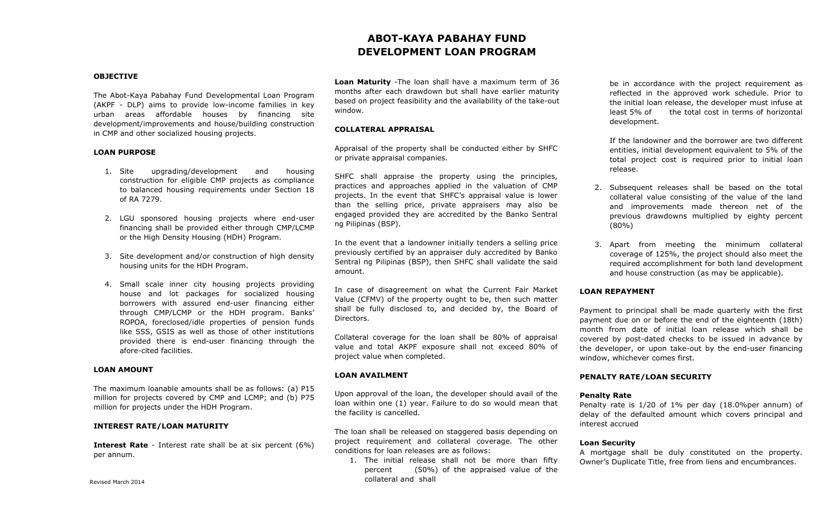# **ABOT-KAYA PABAHAY FUND DEVELOPMENT LOAN PROGRAM**

### **OBJECTIVE**

The Abot-Kaya Pabahay Fund Developmental Loan Program (AKPF - DLP) aims to provide low-income families in key urban areas affordable houses by financing site development/improvements and house/building construction in CMP and other socialized housing projects.

### **LOAN PURPOSE**

- 1. Site upgrading/development and housing construction for eligible CMP projects as compliance to balanced housing requirements under Section 18 of RA 7279.
- 2. LGU sponsored housing projects where end-user financing shall be provided either through CMP/LCMP or the High Density Housing (HDH) Program.
- 3. Site development and/or construction of high density housing units for the HDH Program.
- 4. Small scale inner city housing projects providing house and lot packages for socialized housing borrowers with assured end-user financing either through CMP/LCMP or the HDH program. Banks' ROPOA, foreclosed/idle properties of pension funds like SSS, GSIS as well as those of other institutions provided there is end-user financing through the afore-cited facilities.

### **LOAN AMOUNT**

The maximum loanable amounts shall be as follows: (a) P15 million for projects covered by CMP and LCMP; and (b) P75 million for projects under the HDH Program.

## **INTEREST RATE/LOAN MATURITY**

**Interest Rate** - Interest rate shall be at six percent (6%) per annum.

**Loan Maturity** -The loan shall have a maximum term of 36 months after each drawdown but shall have earlier maturity based on project feasibility and the availability of the take-out window.

### **COLLATERAL APPRAISAL**

Appraisal of the property shall be conducted either by SHFC or private appraisal companies.

SHFC shall appraise the property using the principles, practices and approaches applied in the valuation of CMP projects. In the event that SHFC's appraisal value is lower than the selling price, private appraisers may also be engaged provided they are accredited by the Banko Sentral ng Pilipinas (BSP).

In the event that a landowner initially tenders a selling price previously certified by an appraiser duly accredited by Banko Sentral ng Pilipinas (BSP), then SHFC shall validate the said amount.

In case of disagreement on what the Current Fair Market Value (CFMV) of the property ought to be, then such matter shall be fully disclosed to, and decided by, the Board of Directors.

Collateral coverage for the loan shall be 80% of appraisal value and total AKPF exposure shall not exceed 80% of project value when completed.

### **LOAN AVAILMENT**

Upon approval of the loan, the developer should avail of the loan within one (1) year. Failure to do so would mean that the facility is cancelled.

The loan shall be released on staggered basis depending on project requirement and collateral coverage. The other conditions for loan releases are as follows:

1. The initial release shall not be more than fifty percent (50%) of the appraised value of the collateral and shall

be in accordance with the project requirement as reflected in the approved work schedule. Prior to the initial loan release, the developer must infuse at least 5% of the total cost in terms of horizontal development.

If the landowner and the borrower are two different entities, initial development equivalent to 5% of the total project cost is required prior to initial loan release.

- 2. Subsequent releases shall be based on the total collateral value consisting of the value of the land and improvements made thereon net of the previous drawdowns multiplied by eighty percent (80%)
- 3. Apart from meeting the minimum collateral coverage of 125%, the project should also meet the required accomplishment for both land development and house construction (as may be applicable).

# **LOAN REPAYMENT**

Payment to principal shall be made quarterly with the first payment due on or before the end of the eighteenth (18th) month from date of initial loan release which shall be covered by post-dated checks to be issued in advance by the developer, or upon take-out by the end-user financing window, whichever comes first.

# **PENALTY RATE/LOAN SECURITY**

### **Penalty Rate**

Penalty rate is 1/20 of 1% per day (18.0%per annum) of delay of the defaulted amount which covers principal and interest accrued

# **Loan Security**

A mortgage shall be duly constituted on the property. Owner's Duplicate Title, free from liens and encumbrances.

Revised March 2014